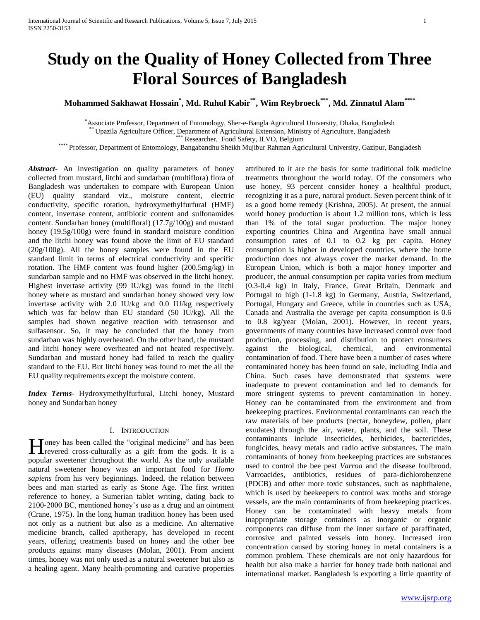# **Study on the Quality of Honey Collected from Three Floral Sources of Bangladesh**

# **Mohammed Sakhawat Hossain\* , Md. Ruhul Kabir\*\*, Wim Reybroeck\*\*\*, Md. Zinnatul Alam\*\*\*\***

\*Associate Professor, Department of Entomology, Sher-e-Bangla Agricultural University, Dhaka, Bangladesh

Upazila Agriculture Officer, Department of Agricultural Extension, Ministry of Agriculture, Bangladesh

Researcher, Food Safety, ILVO, Belgium

\*\*\*\* Professor, Department of Entomology, Bangabandhu Sheikh Mujibur Rahman Agricultural University, Gazipur, Bangladesh

*Abstract***-** An investigation on quality parameters of honey collected from mustard, litchi and sundarban (multiflora) flora of Bangladesh was undertaken to compare with European Union (EU) quality standard viz., moisture content, electric conductivity, specific rotation, hydroxymethylfurfural (HMF) content, invertase content, antibiotic content and sulfonamides content. Sundarban honey (multifloral) (17.7g/100g) and mustard honey (19.5g/100g) were found in standard moisture condition and the litchi honey was found above the limit of EU standard (20g/100g). All the honey samples were found in the EU standard limit in terms of electrical conductivity and specific rotation. The HMF content was found higher (200.5mg/kg) in sundarban sample and no HMF was observed in the litchi honey. Highest invertase activity (99 IU/kg) was found in the litchi honey where as mustard and sundarban honey showed very low invertase activity with 2.0 IU/kg and 0.0 IU/kg respectively which was far below than EU standard (50 IU/kg). All the samples had shown negative reaction with tetrasensor and sulfasensor. So, it may be concluded that the honey from sundarban was highly overheated. On the other hand, the mustard and litchi honey were overheated and not heated respectively. Sundarban and mustard honey had failed to reach the quality standard to the EU. But litchi honey was found to met the all the EU quality requirements except the moisture content.

*Index Terms*- Hydroxymethylfurfural, Litchi honey, Mustard honey and Sundarban honey

# I. INTRODUCTION

Toney has been called the "original medicine" and has been **H** oney has been called the "original medicine" and has been revered cross-culturally as a gift from the gods. It is a popular sweetener throughout the world. As the only available natural sweetener honey was an important food for *Homo sapiens* from his very beginnings. Indeed, the relation between bees and man started as early as Stone Age. The first written reference to honey, a Sumerian tablet writing, dating back to 2100-2000 BC, mentioned honey's use as a drug and an ointment (Crane, 1975). In the long human tradition honey has been used not only as a nutrient but also as a medicine. An alternative medicine branch, called apitherapy, has developed in recent years, offering treatments based on honey and the other bee products against many diseases (Molan, 2001). From ancient times, honey was not only used as a natural sweetener but also as a healing agent. Many health-promoting and curative properties

attributed to it are the basis for some traditional folk medicine treatments throughout the world today. Of the consumers who use honey, 93 percent consider honey a healthful product, recognizing it as a pure, natural product. Seven percent think of it as a good home remedy (Krishna, 2005). At present, the annual world honey production is about 1.2 million tons, which is less than 1% of the total sugar production. The major honey exporting countries China and Argentina have small annual consumption rates of 0.1 to 0.2 kg per capita. Honey consumption is higher in developed countries, where the home production does not always cover the market demand. In the European Union, which is both a major honey importer and producer, the annual consumption per capita varies from medium (0.3-0.4 kg) in Italy, France, Great Britain, Denmark and Portugal to high (1-1.8 kg) in Germany, Austria, Switzerland, Portugal, Hungary and Greece, while in countries such as USA, Canada and Australia the average per capita consumption is 0.6 to 0.8 kg/year (Molan, 2001). However, in recent years, governments of many countries have increased control over food production, processing, and distribution to protect consumers against the biological, chemical, and environmental contamination of food. There have been a number of cases where contaminated honey has been found on sale, including India and China. Such cases have demonstrated that systems were inadequate to prevent contamination and led to demands for more stringent systems to prevent contamination in honey. Honey can be contaminated from the environment and from beekeeping practices. Environmental contaminants can reach the raw materials of bee products (nectar, honeydew, pollen, plant exudates) through the air, water, plants, and the soil. These contaminants include insecticides, herbicides, bactericides, fungicides, heavy metals and radio active substances. The main contaminants of honey from beekeeping practices are substances used to control the bee pest *Varroa* and the disease foulbrood. Varroacides, antibiotics, residues of para-dichlorobenzene (PDCB) and other more toxic substances, such as naphthalene, which is used by beekeepers to control wax moths and storage vessels, are the main contaminants of from beekeeping practices. Honey can be contaminated with heavy metals from inappropriate storage containers as inorganic or organic components can diffuse from the inner surface of paraffinated, corrosive and painted vessels into honey. Increased iron concentration caused by storing honey in metal containers is a common problem. These chemicals are not only hazardous for health but also make a barrier for honey trade both national and international market. Bangladesh is exporting a little quantity of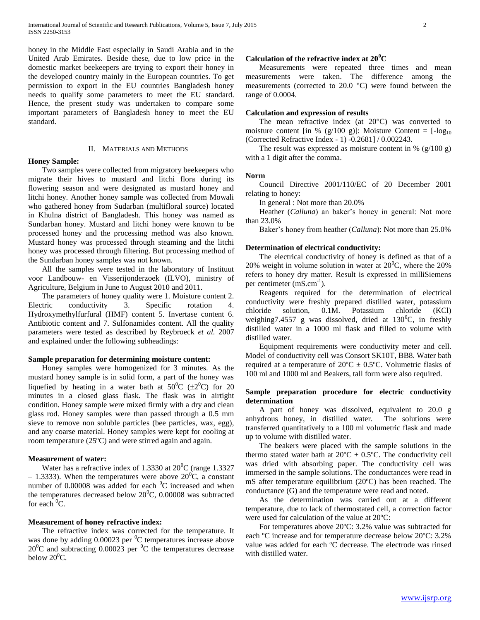honey in the Middle East especially in Saudi Arabia and in the United Arab Emirates. Beside these, due to low price in the domestic market beekeepers are trying to export their honey in the developed country mainly in the European countries. To get permission to export in the EU countries Bangladesh honey needs to qualify some parameters to meet the EU standard. Hence, the present study was undertaken to compare some important parameters of Bangladesh honey to meet the EU standard.

#### II. MATERIALS AND METHODS

## **Honey Sample:**

 Two samples were collected from migratory beekeepers who migrate their hives to mustard and litchi flora during its flowering season and were designated as mustard honey and litchi honey. Another honey sample was collected from Mowali who gathered honey from Sudarban (multifloral source) located in Khulna district of Bangladesh. This honey was named as Sundarban honey. Mustard and litchi honey were known to be processed honey and the processing method was also known. Mustard honey was processed through steaming and the litchi honey was processed through filtering. But processing method of the Sundarban honey samples was not known.

 All the samples were tested in the laboratory of Instituut voor Landbouw- en Visserijonderzoek (ILVO), ministry of Agriculture, Belgium in June to August 2010 and 2011.

 The parameters of honey quality were 1. Moisture content 2. Electric conductivity 3. Specific rotation 4. Hydroxymethylfurfural (HMF) content 5. Invertase content 6. Antibiotic content and 7. Sulfonamides content. All the quality parameters were tested as described by Reybroeck *et al.* 2007 and explained under the following subheadings:

# **Sample preparation for determining moisture content:**

 Honey samples were homogenized for 3 minutes. As the mustard honey sample is in solid form, a part of the honey was liquefied by heating in a water bath at  $50^{\circ}$ C ( $\pm 2^{\circ}$ C) for 20 minutes in a closed glass flask. The flask was in airtight condition. Honey sample were mixed firmly with a dry and clean glass rod. Honey samples were than passed through a 0.5 mm sieve to remove non soluble particles (bee particles, wax, egg), and any coarse material. Honey samples were kept for cooling at room temperature (25ºC) and were stirred again and again.

## **Measurement of water:**

Water has a refractive index of 1.3330 at  $20^{\circ}$ C (range 1.3327) – 1.3333). When the temperatures were above  $20^{\circ}$ C, a constant number of  $0.00008$  was added for each  $\mathrm{^0C}$  increased and when the temperatures decreased below  $20^{\circ}$ C, 0.00008 was subtracted for each  ${}^{0}C$ .

# **Measurement of honey refractive index:**

 The refractive index was corrected for the temperature. It was done by adding  $0.00023$  per  $\mathrm{^{0}C}$  temperatures increase above  $20^0C$  and subtracting  $0.00023$  per <sup>0</sup>C the temperatures decrease below  $20^0C$ .

# **Calculation of the refractive index at 20<sup>0</sup>C**

 Measurements were repeated three times and mean measurements were taken. The difference among the measurements (corrected to 20.0 °C) were found between the range of 0.0004.

## **Calculation and expression of results**

 The mean refractive index (at 20°C) was converted to moisture content [in % (g/100 g)]: Moisture Content =  $[-\log_{10}$ (Corrected Refractive Index - 1) -0.2681] / 0.002243.

The result was expressed as moisture content in  $\%$  (g/100 g) with a 1 digit after the comma.

#### **Norm**

 Council Directive 2001/110/EC of 20 December 2001 relating to honey:

In general : Not more than 20.0%

 Heather (*Calluna*) an baker's honey in general: Not more than 23.0%

Baker's honey from heather (*Calluna*): Not more than 25.0%

#### **Determination of electrical conductivity:**

 The electrical conductivity of honey is defined as that of a 20% weight in volume solution in water at  $20^{\circ}$ C, where the 20% refers to honey dry matter. Result is expressed in milliSiemens per centimeter  $(mS.cm^{-1})$ .

 Reagents required for the determination of electrical conductivity were freshly prepared distilled water, potassium chloride solution, 0.1M. Potassium chloride (KCl) weighing7.4557 g was dissolved, dried at  $130^{\circ}$ C, in freshly distilled water in a 1000 ml flask and filled to volume with distilled water.

 Equipment requirements were conductivity meter and cell. Model of conductivity cell was Consort SK10T, BB8. Water bath required at a temperature of  $20^{\circ}\text{C} \pm 0.5^{\circ}\text{C}$ . Volumetric flasks of 100 ml and 1000 ml and Beakers, tall form were also required.

# **Sample preparation procedure for electric conductivity determination**

 A part of honey was dissolved, equivalent to 20.0 g anhydrous honey, in distilled water. The solutions were transferred quantitatively to a 100 ml volumetric flask and made up to volume with distilled water.

 The beakers were placed with the sample solutions in the thermo stated water bath at  $20^{\circ}C \pm 0.5^{\circ}C$ . The conductivity cell was dried with absorbing paper. The conductivity cell was immersed in the sample solutions. The conductances were read in mS after temperature equilibrium (20ºC) has been reached. The conductance (G) and the temperature were read and noted.

 As the determination was carried out at a different temperature, due to lack of thermostated cell, a correction factor were used for calculation of the value at 20ºC:

 For temperatures above 20ºC: 3.2% value was subtracted for each ºC increase and for temperature decrease below 20ºC: 3.2% value was added for each ºC decrease. The electrode was rinsed with distilled water.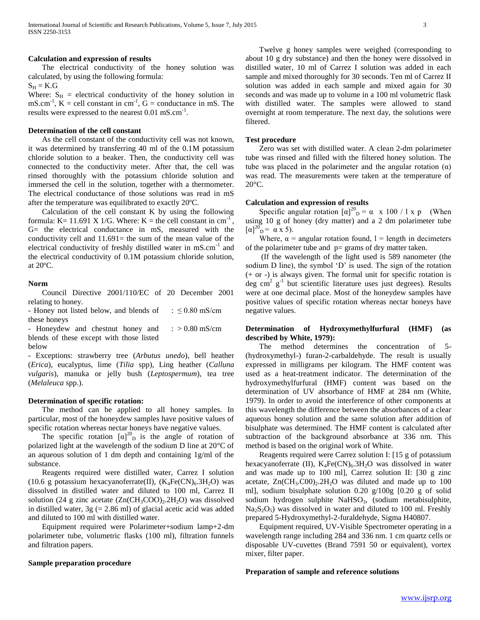#### **Calculation and expression of results**

 The electrical conductivity of the honey solution was calculated, by using the following formula:

 $S_H = K.G$ 

Where:  $S_H$  = electrical conductivity of the honey solution in  $\text{mS.cm}^{-1}$ ,  $\text{K} = \text{cell constant in cm}^{-1}$ ,  $\text{G} = \text{conductance in mS}$ . The results were expressed to the nearest 0.01 mS.cm<sup>-1</sup>.

# **Determination of the cell constant**

 As the cell constant of the conductivity cell was not known, it was determined by transferring 40 ml of the 0.1M potassium chloride solution to a beaker. Then, the conductivity cell was connected to the conductivity meter. After that, the cell was rinsed thoroughly with the potassium chloride solution and immersed the cell in the solution, together with a thermometer. The electrical conductance of those solutions was read in mS after the temperature was equilibrated to exactly 20ºC.

 Calculation of the cell constant K by using the following formula: K = 11.691 X 1/G. Where: K = the cell constant in cm<sup>-1</sup>, G= the electrical conductance in mS, measured with the conductivity cell and 11.691= the sum of the mean value of the electrical conductivity of freshly distilled water in mS.cm<sup>-1</sup> and the electrical conductivity of 0.1M potassium chloride solution, at 20ºC.

#### **Norm**

 Council Directive 2001/110/EC of 20 December 2001 relating to honey.

- Honey not listed below, and blends of these honeys :  $\leq$  0.80 mS/cm

- Honeydew and chestnut honey and blends of these except with those listed below  $: > 0.80$  mS/cm

- Exceptions: strawberry tree (*Arbutus unedo*), bell heather (*Erica*), eucalyptus, lime (*Tilia* spp), Ling heather (*Calluna vulgaris*), manuka or jelly bush (*Leptospermum*), tea tree (*Melaleuca* spp.).

## **Determination of specific rotation:**

 The method can be applied to all honey samples. In particular, most of the honeydew samples have positive values of specific rotation whereas nectar honeys have negative values.

The specific rotation  $[\alpha]_{D}^{20}$  is the angle of rotation of polarized light at the wavelength of the sodium D line at 20°C of an aqueous solution of 1 dm depth and containing 1g/ml of the substance.

 Reagents required were distilled water, Carrez I solution (10.6 g potassium hexacyanoferrate(II),  $(K_4Fe(CN)_6.3H_2O)$  was dissolved in distilled water and diluted to 100 ml, Carrez II solution (24 g zinc acetate  $(Zn(CH_3COO)_2.2H_2O)$  was dissolved in distilled water,  $3g$  (= 2.86 ml) of glacial acetic acid was added and diluted to 100 ml with distilled water.

 Equipment required were Polarimeter+sodium lamp+2-dm polarimeter tube, volumetric flasks (100 ml), filtration funnels and filtration papers.

# **Sample preparation procedure**

 Twelve g honey samples were weighed (corresponding to about 10 g dry substance) and then the honey were dissolved in distilled water, 10 ml of Carrez I solution was added in each sample and mixed thoroughly for 30 seconds. Ten ml of Carrez II solution was added in each sample and mixed again for 30 seconds and was made up to volume in a 100 ml volumetric flask with distilled water. The samples were allowed to stand overnight at room temperature. The next day, the solutions were filtered.

#### **Test procedure**

 Zero was set with distilled water. A clean 2-dm polarimeter tube was rinsed and filled with the filtered honey solution. The tube was placed in the polarimeter and the angular rotation  $(\alpha)$ was read. The measurements were taken at the temperature of 20°C.

# **Calculation and expression of results**

Specific angular rotation  $[\alpha]^{20}$ <sub>D</sub> =  $\alpha$  x 100 / l x p (When using 10 g of honey (dry matter) and a 2 dm polarimeter tube  $[\alpha]_{\text{D}}^{20} = \alpha \times 5$ ).

Where,  $\alpha$  = angular rotation found, 1 = length in decimeters of the polarimeter tube and  $p=$  grams of dry matter taken.

 (If the wavelength of the light used is 589 nanometer (the sodium D line), the symbol 'D' is used. The sign of the rotation (+ or -) is always given. The formal unit for specific rotation is deg cm<sup>2</sup>  $g^{-1}$  but scientific literature uses just degrees). Results were at one decimal place. Most of the honeydew samples have positive values of specific rotation whereas nectar honeys have negative values.

# **Determination of Hydroxymethylfurfural (HMF) (as described by White, 1979):**

 The method determines the concentration of 5- (hydroxymethyl-) furan-2-carbaldehyde. The result is usually expressed in milligrams per kilogram. The HMF content was used as a heat-treatment indicator. The determination of the hydroxymethylfurfural (HMF) content was based on the determination of UV absorbance of HMF at 284 nm (White, 1979). In order to avoid the interference of other components at this wavelength the difference between the absorbances of a clear aqueous honey solution and the same solution after addition of bisulphate was determined. The HMF content is calculated after subtraction of the background absorbance at 336 nm. This method is based on the original work of White.

 Reagents required were Carrez solution I: [15 g of potassium hexacyanoferrate (II),  $K_4Fe(CN)_6.3H_2O$  was dissolved in water and was made up to 100 ml], Carrez solution II: [30 g zinc acetate,  $Zn(CH_3:COO)_2.2H_2O$  was diluted and made up to 100 ml], sodium bisulphate solution 0.20 g/100g [0.20 g of solid sodium hydrogen sulphite  $NaHSO<sub>3</sub>$ , (sodium metabisulphite,  $Na<sub>2</sub>S<sub>2</sub>O<sub>5</sub>$  was dissolved in water and diluted to 100 ml. Freshly prepared 5-Hydroxymethyl-2-furaldehyde, Sigma H40807.

 Equipment required, UV-Visible Spectrometer operating in a wavelength range including 284 and 336 nm. 1 cm quartz cells or disposable UV-cuvettes (Brand 7591 50 or equivalent), vortex mixer, filter paper.

#### **Preparation of sample and reference solutions**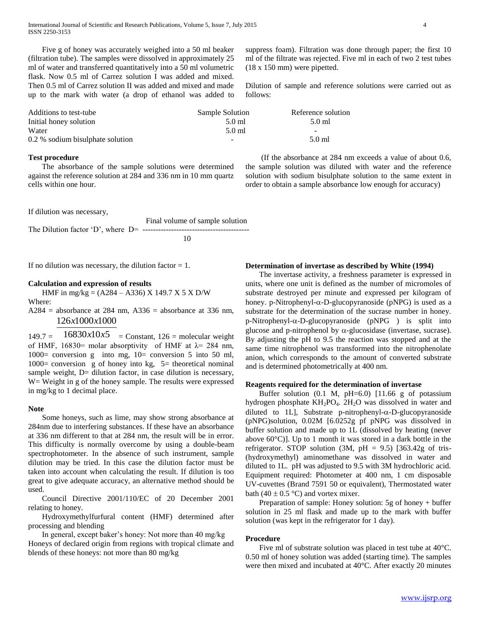Five g of honey was accurately weighed into a 50 ml beaker (filtration tube). The samples were dissolved in approximately 25 ml of water and transferred quantitatively into a 50 ml volumetric flask. Now 0.5 ml of Carrez solution I was added and mixed. Then 0.5 ml of Carrez solution II was added and mixed and made up to the mark with water (a drop of ethanol was added to suppress foam). Filtration was done through paper; the first 10 ml of the filtrate was rejected. Five ml in each of two 2 test tubes (18 x 150 mm) were pipetted.

Dilution of sample and reference solutions were carried out as follows:

| Additions to test-tube           | Sample Solution          | Reference solution       |
|----------------------------------|--------------------------|--------------------------|
| Initial honey solution           | 5.0 ml                   | $5.0$ ml                 |
| Water                            | 5.0 ml                   | $\overline{\phantom{0}}$ |
| 0.2 % sodium bisulphate solution | $\overline{\phantom{a}}$ | 5.0 ml                   |

### **Test procedure**

 The absorbance of the sample solutions were determined against the reference solution at 284 and 336 nm in 10 mm quartz cells within one hour.

If dilution was necessary,

 Final volume of sample solution The Dilution factor 'D', where D= ----------------------------------------- 10

If no dilution was necessary, the dilution factor  $= 1$ .

#### **Calculation and expression of results**

 HMF in mg/kg = (A284 – A336) X 149.7 X 5 X D/W Where:

 $A284$  = absorbance at 284 nm,  $A336$  = absorbance at 336 nm, 126 1000 1000 *x x*

 $149.7 =$  $16830 \times 10 \times 5$  = Constant, 126 = molecular weight of HMF, 16830= molar absorptivity of HMF at  $\lambda$ = 284 nm, 1000= conversion g into mg,  $10$ = conversion 5 into 50 ml, 1000= conversion g of honey into kg,  $5=$  theoretical nominal sample weight, D= dilution factor, in case dilution is necessary, W = Weight in g of the honey sample. The results were expressed in mg/kg to 1 decimal place.

#### **Note**

 Some honeys, such as lime, may show strong absorbance at 284nm due to interfering substances. If these have an absorbance at 336 nm different to that at 284 nm, the result will be in error. This difficulty is normally overcome by using a double-beam spectrophotometer. In the absence of such instrument, sample dilution may be tried. In this case the dilution factor must be taken into account when calculating the result. If dilution is too great to give adequate accuracy, an alternative method should be used.

 Council Directive 2001/110/EC of 20 December 2001 relating to honey.

 Hydroxymethylfurfural content (HMF) determined after processing and blending

 In general, except baker's honey: Not more than 40 mg/kg Honeys of declared origin from regions with tropical climate and blends of these honeys: not more than 80 mg/kg

 (If the absorbance at 284 nm exceeds a value of about 0.6, the sample solution was diluted with water and the reference solution with sodium bisulphate solution to the same extent in order to obtain a sample absorbance low enough for accuracy)

**Determination of invertase as described by White (1994)**

 The invertase activity, a freshness parameter is expressed in units, where one unit is defined as the number of micromoles of substrate destroyed per minute and expressed per kilogram of honey. p-Nitrophenyl- $\alpha$ -D-glucopyranoside (pNPG) is used as a substrate for the determination of the sucrase number in honey.  $p-Nitrophenyl-\alpha-D-glucopy vanoside (pNPG)$  is split into glucose and p-nitrophenol by  $\alpha$ -glucosidase (invertase, sucrase). By adjusting the pH to 9.5 the reaction was stopped and at the same time nitrophenol was transformed into the nitrophenolate anion, which corresponds to the amount of converted substrate and is determined photometrically at 400 nm.

## **Reagents required for the determination of invertase**

Buffer solution  $(0.1 \text{ M}, \text{pH=6.0})$  [11.66 g of potassium hydrogen phosphate  $KH_2PO_4$ . 2H<sub>2</sub>O was dissolved in water and diluted to 1L], Substrate p-nitrophenyl- $\alpha$ -D-glucopyranoside (pNPG)solution, 0.02M [6.0252g pf pNPG was dissolved in buffer solution and made up to 1L (dissolved by heating (never above 60°C)]. Up to 1 month it was stored in a dark bottle in the refrigerator. STOP solution  $(3M, pH = 9.5)$  [363.42g of tris-(hydroxymethyl) aminomethane was dissolved in water and diluted to 1L. pH was adjusted to 9.5 with 3M hydrochloric acid. Equipment required: Photometer at 400 nm, 1 cm disposable UV-cuvettes (Brand 7591 50 or equivalent), Thermostated water bath (40  $\pm$  0.5 °C) and vortex mixer.

 Preparation of sample: Honey solution: 5g of honey + buffer solution in 25 ml flask and made up to the mark with buffer solution (was kept in the refrigerator for 1 day).

#### **Procedure**

 Five ml of substrate solution was placed in test tube at 40°C. 0.50 ml of honey solution was added (starting time). The samples were then mixed and incubated at 40°C. After exactly 20 minutes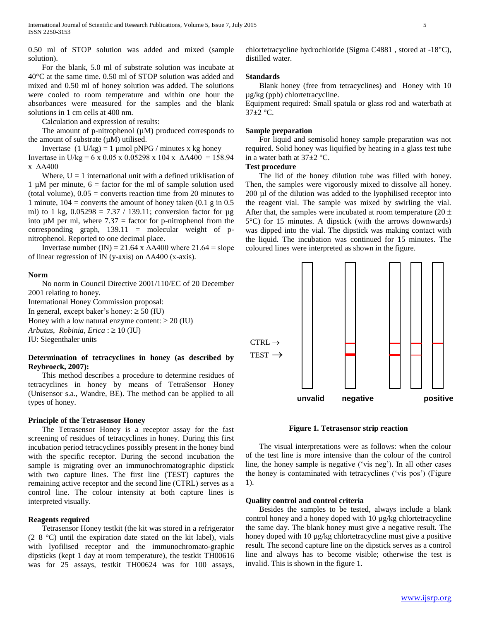0.50 ml of STOP solution was added and mixed (sample solution).

 For the blank, 5.0 ml of substrate solution was incubate at 40°C at the same time. 0.50 ml of STOP solution was added and mixed and 0.50 ml of honey solution was added. The solutions were cooled to room temperature and within one hour the absorbances were measured for the samples and the blank solutions in 1 cm cells at 400 nm.

Calculation and expression of results:

The amount of p-nitrophenol  $(\mu M)$  produced corresponds to the amount of substrate  $(\mu M)$  utilised.

Invertase  $(1 \text{ U/kg}) = 1 \text{ \mu}$ mol pNPG / minutes x kg honey

Invertase in U/kg = 6 x 0.05 x 0.05298 x 104 x  $\triangle$ A400 = 158.94 x ΔA400

Where,  $U = 1$  international unit with a defined utiklisation of 1  $\mu$ M per minute, 6 = factor for the ml of sample solution used (total volume),  $0.05$  = converts reaction time from 20 minutes to 1 minute,  $104 =$  converts the amount of honey taken  $(0.1 \text{ g in } 0.5)$ ml) to 1 kg,  $0.05298 = 7.37 / 139.11$ ; conversion factor for  $\mu$ g into  $\mu$ M per ml, where 7.37 = factor for p-nitrophenol from the corresponding graph,  $139.11$  = molecular weight of pnitrophenol. Reported to one decimal place.

Invertase number (IN) = 21.64 x  $\Delta$ A400 where 21.64 = slope of linear regression of IN (y-axis) on  $\Delta$ A400 (x-axis).

#### **Norm**

 No norm in Council Directive 2001/110/EC of 20 December 2001 relating to honey. International Honey Commission proposal: In general, except baker's honey:  $\geq 50$  (IU) Honey with a low natural enzyme content:  $\geq 20$  (IU) *Arbutus, Robinia, Erica* :  $\geq 10$  (IU) IU: Siegenthaler units

# **Determination of tetracyclines in honey (as described by Reybroeck, 2007):**

 This method describes a procedure to determine residues of tetracyclines in honey by means of TetraSensor Honey (Unisensor s.a., Wandre, BE). The method can be applied to all types of honey.

## **Principle of the Tetrasensor Honey**

 The Tetrasensor Honey is a receptor assay for the fast screening of residues of tetracyclines in honey. During this first incubation period tetracyclines possibly present in the honey bind with the specific receptor. During the second incubation the sample is migrating over an immunochromatographic dipstick with two capture lines. The first line (TEST) captures the remaining active receptor and the second line (CTRL) serves as a control line. The colour intensity at both capture lines is interpreted visually.

# **Reagents required**

 Tetrasensor Honey testkit (the kit was stored in a refrigerator (2–8 °C) until the expiration date stated on the kit label), vials with lyofilised receptor and the immunochromato-graphic dipsticks (kept 1 day at room temperature), the testkit TH00616 was for 25 assays, testkit TH00624 was for 100 assays, chlortetracycline hydrochloride (Sigma C4881 , stored at -18°C), distilled water.

# **Standards**

 Blank honey (free from tetracyclines) and Honey with 10 µg/kg (ppb) chlortetracycline.

Equipment required: Small spatula or glass rod and waterbath at  $37\pm2$  °C.

## **Sample preparation**

 For liquid and semisolid honey sample preparation was not required. Solid honey was liquified by heating in a glass test tube in a water bath at  $37\pm2$  °C.

# **Test procedure**

 The lid of the honey dilution tube was filled with honey. Then, the samples were vigorously mixed to dissolve all honey. 200 µl of the dilution was added to the lyophilised receptor into the reagent vial. The sample was mixed by swirling the vial. After that, the samples were incubated at room temperature (20  $\pm$ ) 5°C) for 15 minutes. A dipstick (with the arrows downwards) was dipped into the vial. The dipstick was making contact with the liquid. The incubation was continued for 15 minutes. The coloured lines were interpreted as shown in the figure.



**Figure 1. Tetrasensor strip reaction**

 The visual interpretations were as follows: when the colour of the test line is more intensive than the colour of the control line, the honey sample is negative ('vis neg'). In all other cases the honey is contaminated with tetracyclines ('vis pos') (Figure 1).

## **Quality control and control criteria**

 Besides the samples to be tested, always include a blank control honey and a honey doped with 10 µg/kg chlortetracycline the same day. The blank honey must give a negative result. The honey doped with 10  $\mu$ g/kg chlortetracycline must give a positive result. The second capture line on the dipstick serves as a control line and always has to become visible; otherwise the test is invalid. This is shown in the figure 1.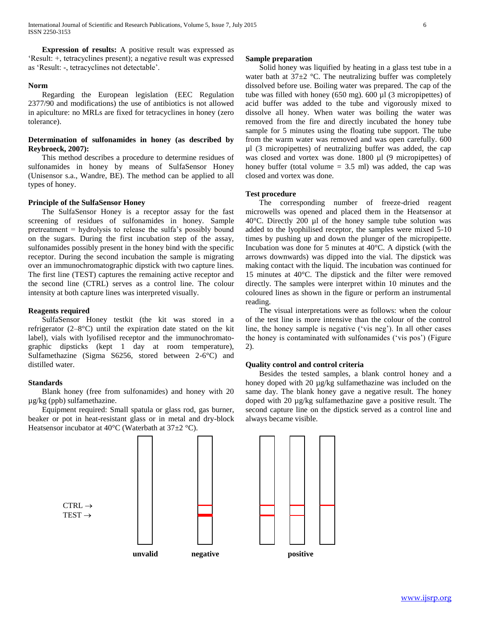**Expression of results:** A positive result was expressed as 'Result: +, tetracyclines present); a negative result was expressed as 'Result: -, tetracyclines not detectable'.

## **Norm**

 Regarding the European legislation (EEC Regulation 2377/90 and modifications) the use of antibiotics is not allowed in apiculture: no MRLs are fixed for tetracyclines in honey (zero tolerance).

# **Determination of sulfonamides in honey (as described by Reybroeck, 2007):**

 This method describes a procedure to determine residues of sulfonamides in honey by means of SulfaSensor Honey (Unisensor s.a., Wandre, BE). The method can be applied to all types of honey.

## **Principle of the SulfaSensor Honey**

 The SulfaSensor Honey is a receptor assay for the fast screening of residues of sulfonamides in honey. Sample pretreatment = hydrolysis to release the sulfa's possibly bound on the sugars. During the first incubation step of the assay, sulfonamides possibly present in the honey bind with the specific receptor. During the second incubation the sample is migrating over an immunochromatographic dipstick with two capture lines. The first line (TEST) captures the remaining active receptor and the second line (CTRL) serves as a control line. The colour intensity at both capture lines was interpreted visually.

# **Reagents required**

 SulfaSensor Honey testkit (the kit was stored in a refrigerator  $(2-8<sup>o</sup>C)$  until the expiration date stated on the kit label), vials with lyofilised receptor and the immunochromatographic dipsticks (kept 1 day at room temperature), Sulfamethazine (Sigma S6256, stored between 2-6°C) and distilled water.

#### **Standards**

 Blank honey (free from sulfonamides) and honey with 20 µg/kg (ppb) sulfamethazine.

 Equipment required: Small spatula or glass rod, gas burner, beaker or pot in heat-resistant glass or in metal and dry-block Heatsensor incubator at  $40^{\circ}$ C (Waterbath at  $37\pm2^{\circ}$ C).

#### **Sample preparation**

 Solid honey was liquified by heating in a glass test tube in a water bath at  $37\pm2$  °C. The neutralizing buffer was completely dissolved before use. Boiling water was prepared. The cap of the tube was filled with honey (650 mg). 600 µl (3 micropipettes) of acid buffer was added to the tube and vigorously mixed to dissolve all honey. When water was boiling the water was removed from the fire and directly incubated the honey tube sample for 5 minutes using the floating tube support. The tube from the warm water was removed and was open carefully. 600 µl (3 micropipettes) of neutralizing buffer was added, the cap was closed and vortex was done. 1800 µl (9 micropipettes) of honey buffer (total volume  $= 3.5$  ml) was added, the cap was closed and vortex was done.

# **Test procedure**

 The corresponding number of freeze-dried reagent microwells was opened and placed them in the Heatsensor at  $40^{\circ}$ C. Directly 200 µl of the honey sample tube solution was added to the lyophilised receptor, the samples were mixed 5-10 times by pushing up and down the plunger of the micropipette. Incubation was done for 5 minutes at 40°C. A dipstick (with the arrows downwards) was dipped into the vial. The dipstick was making contact with the liquid. The incubation was continued for 15 minutes at 40°C. The dipstick and the filter were removed directly. The samples were interpret within 10 minutes and the coloured lines as shown in the figure or perform an instrumental reading.

 The visual interpretations were as follows: when the colour of the test line is more intensive than the colour of the control line, the honey sample is negative ('vis neg'). In all other cases the honey is contaminated with sulfonamides ('vis pos') (Figure 2).

## **Quality control and control criteria**

 Besides the tested samples, a blank control honey and a honey doped with 20 µg/kg sulfamethazine was included on the same day. The blank honey gave a negative result. The honey doped with 20 µg/kg sulfamethazine gave a positive result. The second capture line on the dipstick served as a control line and always became visible.

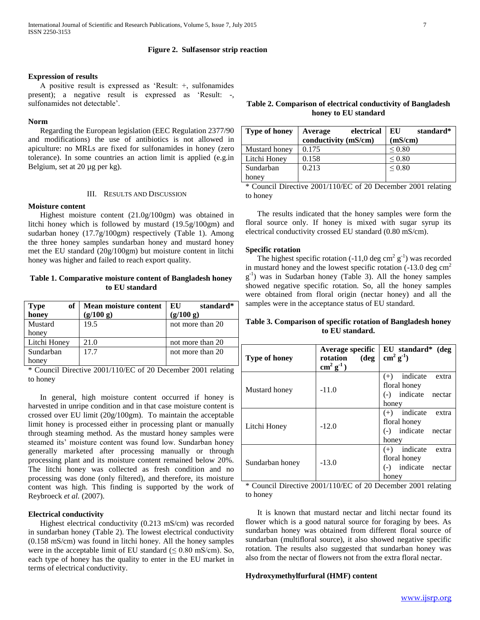# **Figure 2. Sulfasensor strip reaction**

## **Expression of results**

 A positive result is expressed as 'Result: +, sulfonamides present); a negative result is expressed as 'Result: -, sulfonamides not detectable'.

#### **Norm**

 Regarding the European legislation (EEC Regulation 2377/90 and modifications) the use of antibiotics is not allowed in apiculture: no MRLs are fixed for sulfonamides in honey (zero tolerance). In some countries an action limit is applied (e.g.in Belgium, set at 20 µg per kg).

# III. RESULTS AND DISCUSSION

# **Moisture content**

 Highest moisture content (21.0g/100gm) was obtained in litchi honey which is followed by mustard (19.5g/100gm) and sudarban honey (17.7g/100gm) respectively (Table 1). Among the three honey samples sundarban honey and mustard honey met the EU standard (20g/100gm) but moisture content in litchi honey was higher and failed to reach export quality.

# **Table 1. Comparative moisture content of Bangladesh honey to EU standard**

| of<br><b>Type</b> | Mean moisture content | standard*<br>EU  |
|-------------------|-----------------------|------------------|
| honey             | (g/100 g)             | (g/100 g)        |
| Mustard           | 19.5                  | not more than 20 |
| honey             |                       |                  |
| Litchi Honey      | 21.0                  | not more than 20 |
| Sundarban         | 17.7                  | not more than 20 |
| honey             |                       |                  |

\* Council Directive 2001/110/EC of 20 December 2001 relating to honey

 In general, high moisture content occurred if honey is harvested in unripe condition and in that case moisture content is crossed over EU limit (20g/100gm). To maintain the acceptable limit honey is processed either in processing plant or manually through steaming method. As the mustard honey samples were steamed its' moisture content was found low. Sundarban honey generally marketed after processing manually or through processing plant and its moisture content remained below 20%. The litchi honey was collected as fresh condition and no processing was done (only filtered), and therefore, its moisture content was high. This finding is supported by the work of Reybroeck *et al.* (2007).

#### **Electrical conductivity**

 Highest electrical conductivity (0.213 mS/cm) was recorded in sundarban honey (Table 2). The lowest electrical conductivity (0.158 mS/cm) was found in litchi honey. All the honey samples were in the acceptable limit of EU standard  $(\leq 0.80 \text{ mS/cm})$ . So, each type of honey has the quality to enter in the EU market in terms of electrical conductivity.

# **Table 2. Comparison of electrical conductivity of Bangladesh honey to EU standard**

| <b>Type of honey</b> | electrical<br>Average | EU<br>standard* |
|----------------------|-----------------------|-----------------|
|                      | conductivity (mS/cm)  | (mS/cm)         |
| Mustard honey        | 0.175                 | ${}_{0.80}$     |
| Litchi Honey         | 0.158                 | ${}_{0.80}$     |
| Sundarban            | 0.213                 | ${}_{0.80}$     |
| honey                |                       |                 |

\* Council Directive 2001/110/EC of 20 December 2001 relating to honey

 The results indicated that the honey samples were form the floral source only. If honey is mixed with sugar syrup its electrical conductivity crossed EU standard (0.80 mS/cm).

# **Specific rotation**

The highest specific rotation  $(-11,0 \text{ deg cm}^2 \text{ g}^{-1})$  was recorded in mustard honey and the lowest specific rotation  $(-13.0 \text{ deg cm}^2)$ g<sup>-1</sup>) was in Sudarban honey (Table 3). All the honey samples showed negative specific rotation. So, all the honey samples were obtained from floral origin (nectar honey) and all the samples were in the acceptance status of EU standard.

# **Table 3. Comparison of specific rotation of Bangladesh honey to EU standard.**

| Type of honey   | <b>Average specific</b><br>rotation<br>$(\deg$<br>$\text{cm}^2 \text{ g}^1$ | EU standard* (deg<br>$\text{cm}^2 \text{ g}^{-1}$ ) |
|-----------------|-----------------------------------------------------------------------------|-----------------------------------------------------|
|                 |                                                                             | indicate extra<br>$(+)$                             |
| Mustard honey   | $-11.0$                                                                     | floral honey                                        |
|                 |                                                                             | indicate nectar<br>$(-)$                            |
|                 |                                                                             | honey                                               |
| Litchi Honey    | $-12.0$                                                                     | indicate extra<br>$(+)$                             |
|                 |                                                                             | floral honey                                        |
|                 |                                                                             | indicate nectar<br>$(-)$                            |
|                 |                                                                             | honey                                               |
| Sundarban honey | $-13.0$                                                                     | indicate<br>$(+)$<br>extra                          |
|                 |                                                                             | floral honey                                        |
|                 |                                                                             | indicate<br>nectar<br>$(-)$                         |
|                 |                                                                             | honey                                               |

\* Council Directive 2001/110/EC of 20 December 2001 relating to honey

 It is known that mustard nectar and litchi nectar found its flower which is a good natural source for foraging by bees. As sundarban honey was obtained from different floral source of sundarban (multifloral source), it also showed negative specific rotation. The results also suggested that sundarban honey was also from the nectar of flowers not from the extra floral nectar.

## **Hydroxymethylfurfural (HMF) content**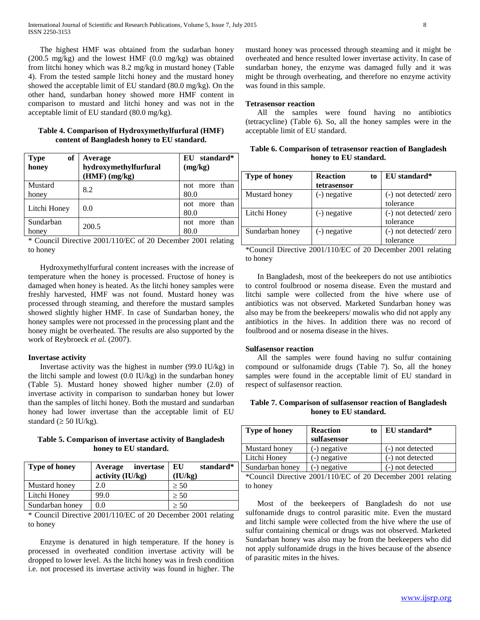The highest HMF was obtained from the sudarban honey (200.5 mg/kg) and the lowest HMF (0.0 mg/kg) was obtained from litchi honey which was 8.2 mg/kg in mustard honey (Table 4). From the tested sample litchi honey and the mustard honey showed the acceptable limit of EU standard (80.0 mg/kg). On the other hand, sundarban honey showed more HMF content in comparison to mustard and litchi honey and was not in the acceptable limit of EU standard (80.0 mg/kg).

# **Table 4. Comparison of Hydroxymethylfurfural (HMF) content of Bangladesh honey to EU standard.**

| of<br><b>Type</b><br>honey | Average<br>hydroxymethylfurfural<br>$(HMF)$ (mg/kg) | EU standard*<br>(mg/kg)     |
|----------------------------|-----------------------------------------------------|-----------------------------|
| Mustard<br>honey           | 8.2                                                 | than<br>more<br>not<br>80.0 |
| Litchi Honey               | 0.0                                                 | more than<br>not<br>80.0    |
| Sundarban<br>honey         | 200.5                                               | than<br>more<br>not<br>80.0 |

\* Council Directive 2001/110/EC of 20 December 2001 relating to honey

 Hydroxymethylfurfural content increases with the increase of temperature when the honey is processed. Fructose of honey is damaged when honey is heated. As the litchi honey samples were freshly harvested, HMF was not found. Mustard honey was processed through steaming, and therefore the mustard samples showed slightly higher HMF. In case of Sundarban honey, the honey samples were not processed in the processing plant and the honey might be overheated. The results are also supported by the work of Reybroeck *et al.* (2007).

# **Invertase activity**

 Invertase activity was the highest in number (99.0 IU/kg) in the litchi sample and lowest  $(0.0 \text{ IU/kg})$  in the sundarban honey (Table 5). Mustard honey showed higher number (2.0) of invertase activity in comparison to sundarban honey but lower than the samples of litchi honey. Both the mustard and sundarban honey had lower invertase than the acceptable limit of EU standard ( $\geq$  50 IU/kg).

**Table 5. Comparison of invertase activity of Bangladesh honey to EU standard.**

| <b>Type of honey</b> | Average invertase<br>activity (IU/kg) | standard*<br>EU<br>(IU/kg) |
|----------------------|---------------------------------------|----------------------------|
| Mustard honey        | 2.0                                   | $\geq 50$                  |
| Litchi Honey         | 99.0                                  | $\geq 50$                  |
| Sundarban honey      | 0.0                                   | $\geq 50$                  |

\* Council Directive 2001/110/EC of 20 December 2001 relating to honey

 Enzyme is denatured in high temperature. If the honey is processed in overheated condition invertase activity will be dropped to lower level. As the litchi honey was in fresh condition i.e. not processed its invertase activity was found in higher. The

mustard honey was processed through steaming and it might be overheated and hence resulted lower invertase activity. In case of sundarban honey, the enzyme was damaged fully and it was might be through overheating, and therefore no enzyme activity was found in this sample.

# **Tetrasensor reaction**

 All the samples were found having no antibiotics (tetracycline) (Table 6). So, all the honey samples were in the acceptable limit of EU standard.

**Table 6. Comparison of tetrasensor reaction of Bangladesh honey to EU standard.**

| <b>Type of honey</b> | <b>Reaction</b><br>to      | EU standard*          |
|----------------------|----------------------------|-----------------------|
|                      | tetrasensor                |                       |
| Mustard honey        | (-) negative               | (-) not detected/zero |
|                      |                            | tolerance             |
| Litchi Honey         | (-) negative               | (-) not detected/zero |
|                      |                            | tolerance             |
| Sundarban honey      | $\left( -\right)$ negative | (-) not detected/zero |
|                      |                            | tolerance             |

\*Council Directive 2001/110/EC of 20 December 2001 relating to honey

 In Bangladesh, most of the beekeepers do not use antibiotics to control foulbrood or nosema disease. Even the mustard and litchi sample were collected from the hive where use of antibiotics was not observed. Marketed Sundarban honey was also may be from the beekeepers/ mowalis who did not apply any antibiotics in the hives. In addition there was no record of foulbrood and or nosema disease in the hives.

# **Sulfasensor reaction**

 All the samples were found having no sulfur containing compound or sulfonamide drugs (Table 7). So, all the honey samples were found in the acceptable limit of EU standard in respect of sulfasensor reaction.

| Table 7. Comparison of sulfasensor reaction of Bangladesh |
|-----------------------------------------------------------|
| honey to EU standard.                                     |

| <b>Type of honey</b> | <b>Reaction</b><br>to<br>sulfasensor | EU standard*     |
|----------------------|--------------------------------------|------------------|
| Mustard honey        | $(-)$ negative                       | (-) not detected |
| Litchi Honey         | $(-)$ negative                       | (-) not detected |
| Sundarban honey      | $(-)$ negative                       | (-) not detected |

\*Council Directive 2001/110/EC of 20 December 2001 relating to honey

 Most of the beekeepers of Bangladesh do not use sulfonamide drugs to control parasitic mite. Even the mustard and litchi sample were collected from the hive where the use of sulfur containing chemical or drugs was not observed. Marketed Sundarban honey was also may be from the beekeepers who did not apply sulfonamide drugs in the hives because of the absence of parasitic mites in the hives.